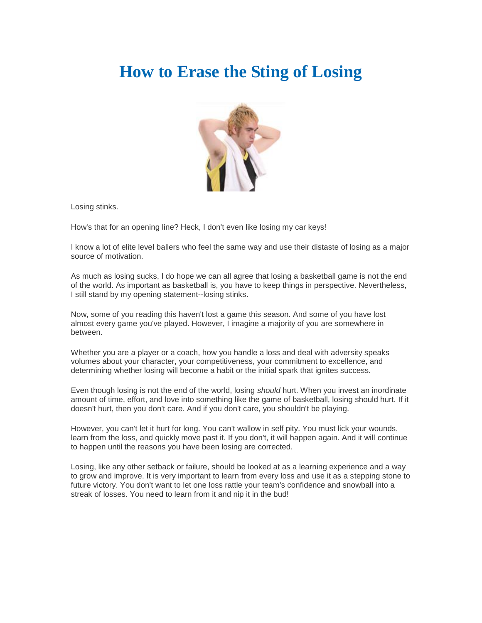## **How to Erase the Sting of Losing**



Losing stinks.

How's that for an opening line? Heck, I don't even like losing my car keys!

I know a lot of elite level ballers who feel the same way and use their distaste of losing as a major source of motivation.

As much as losing sucks, I do hope we can all agree that losing a basketball game is not the end of the world. As important as basketball is, you have to keep things in perspective. Nevertheless, I still stand by my opening statement--losing stinks.

Now, some of you reading this haven't lost a game this season. And some of you have lost almost every game you've played. However, I imagine a majority of you are somewhere in between.

Whether you are a player or a coach, how you handle a loss and deal with adversity speaks volumes about your character, your competitiveness, your commitment to excellence, and determining whether losing will become a habit or the initial spark that ignites success.

Even though losing is not the end of the world, losing *should* hurt. When you invest an inordinate amount of time, effort, and love into something like the game of basketball, losing should hurt. If it doesn't hurt, then you don't care. And if you don't care, you shouldn't be playing.

However, you can't let it hurt for long. You can't wallow in self pity. You must lick your wounds, learn from the loss, and quickly move past it. If you don't, it will happen again. And it will continue to happen until the reasons you have been losing are corrected.

Losing, like any other setback or failure, should be looked at as a learning experience and a way to grow and improve. It is very important to learn from every loss and use it as a stepping stone to future victory. You don't want to let one loss rattle your team's confidence and snowball into a streak of losses. You need to learn from it and nip it in the bud!